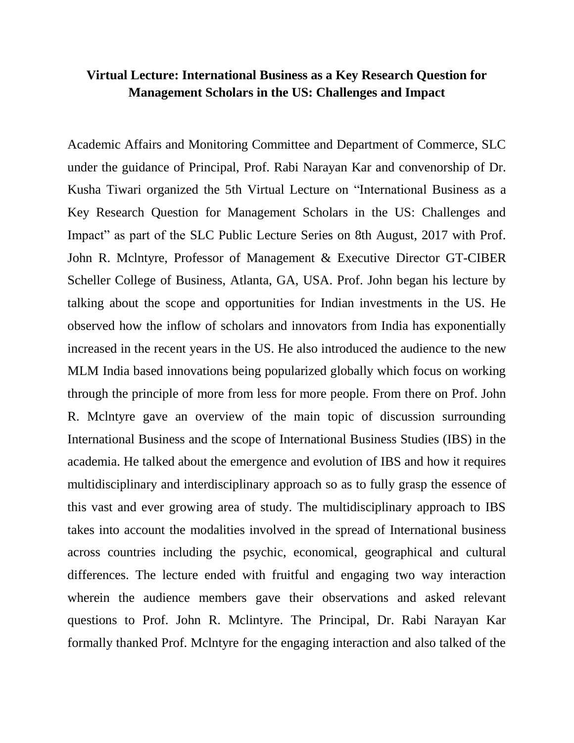## **Virtual Lecture: International Business as a Key Research Question for Management Scholars in the US: Challenges and Impact**

Academic Affairs and Monitoring Committee and Department of Commerce, SLC under the guidance of Principal, Prof. Rabi Narayan Kar and convenorship of Dr. Kusha Tiwari organized the 5th Virtual Lecture on "International Business as a Key Research Question for Management Scholars in the US: Challenges and Impact" as part of the SLC Public Lecture Series on 8th August, 2017 with Prof. John R. Mclntyre, Professor of Management & Executive Director GT-CIBER Scheller College of Business, Atlanta, GA, USA. Prof. John began his lecture by talking about the scope and opportunities for Indian investments in the US. He observed how the inflow of scholars and innovators from India has exponentially increased in the recent years in the US. He also introduced the audience to the new MLM India based innovations being popularized globally which focus on working through the principle of more from less for more people. From there on Prof. John R. Mclntyre gave an overview of the main topic of discussion surrounding International Business and the scope of International Business Studies (IBS) in the academia. He talked about the emergence and evolution of IBS and how it requires multidisciplinary and interdisciplinary approach so as to fully grasp the essence of this vast and ever growing area of study. The multidisciplinary approach to IBS takes into account the modalities involved in the spread of International business across countries including the psychic, economical, geographical and cultural differences. The lecture ended with fruitful and engaging two way interaction wherein the audience members gave their observations and asked relevant questions to Prof. John R. Mclintyre. The Principal, Dr. Rabi Narayan Kar formally thanked Prof. Mclntyre for the engaging interaction and also talked of the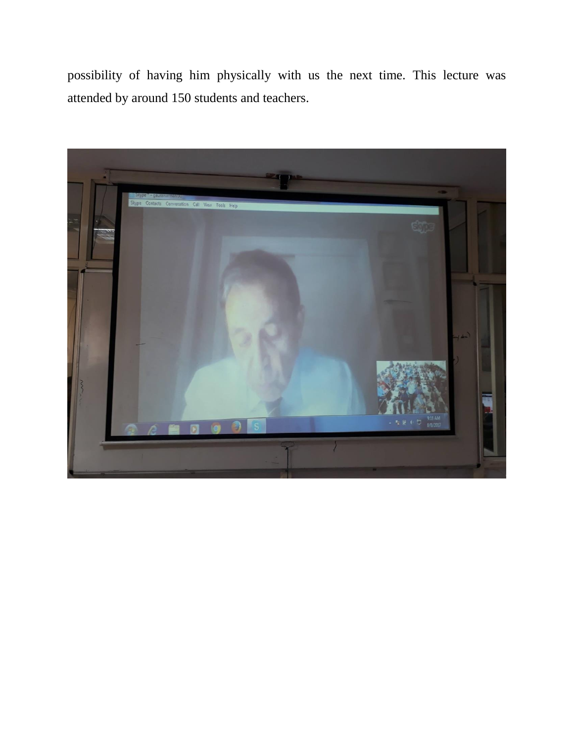possibility of having him physically with us the next time. This lecture was attended by around 150 students and teachers.